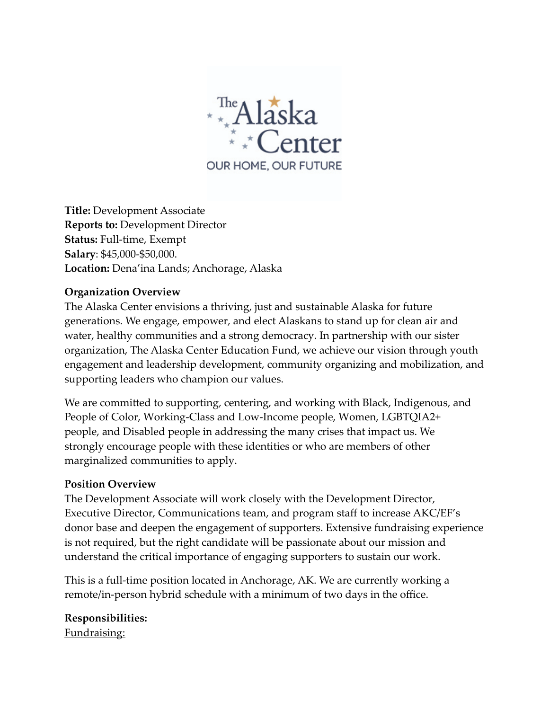

**Title:** Development Associate **Reports to:** Development Director **Status:** Full-time, Exempt **Salary**: \$45,000-\$50,000. **Location:** Dena'ina Lands; Anchorage, Alaska

#### **Organization Overview**

The Alaska Center envisions a thriving, just and sustainable Alaska for future generations. We engage, empower, and elect Alaskans to stand up for clean air and water, healthy communities and a strong democracy. In partnership with our sister organization, The Alaska Center Education Fund, we achieve our vision through youth engagement and leadership development, community organizing and mobilization, and supporting leaders who champion our values.

We are committed to supporting, centering, and working with Black, Indigenous, and People of Color, Working-Class and Low-Income people, Women, LGBTQIA2+ people, and Disabled people in addressing the many crises that impact us. We strongly encourage people with these identities or who are members of other marginalized communities to apply.

#### **Position Overview**

The Development Associate will work closely with the Development Director, Executive Director, Communications team, and program staff to increase AKC/EF's donor base and deepen the engagement of supporters. Extensive fundraising experience is not required, but the right candidate will be passionate about our mission and understand the critical importance of engaging supporters to sustain our work.

This is a full-time position located in Anchorage, AK. We are currently working a remote/in-person hybrid schedule with a minimum of two days in the office.

**Responsibilities:**

Fundraising: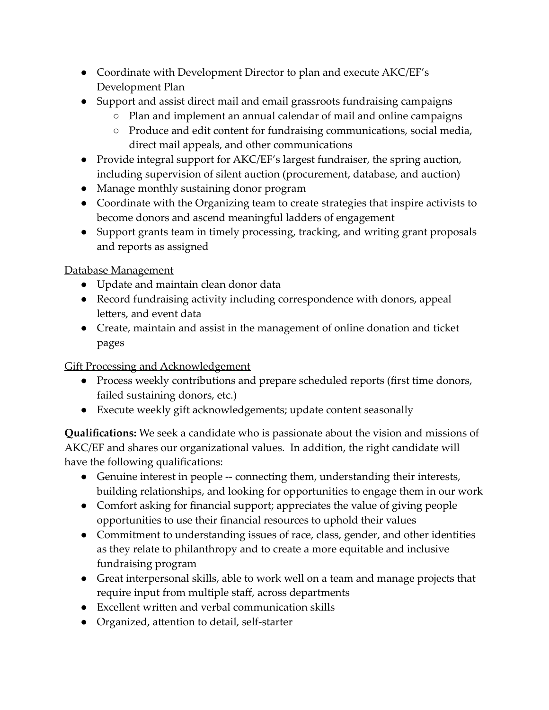- Coordinate with Development Director to plan and execute AKC/EF's Development Plan
- Support and assist direct mail and email grassroots fundraising campaigns
	- Plan and implement an annual calendar of mail and online campaigns
	- Produce and edit content for fundraising communications, social media, direct mail appeals, and other communications
- Provide integral support for AKC/EF's largest fundraiser, the spring auction, including supervision of silent auction (procurement, database, and auction)
- Manage monthly sustaining donor program
- Coordinate with the Organizing team to create strategies that inspire activists to become donors and ascend meaningful ladders of engagement
- Support grants team in timely processing, tracking, and writing grant proposals and reports as assigned

## Database Management

- Update and maintain clean donor data
- Record fundraising activity including correspondence with donors, appeal letters, and event data
- Create, maintain and assist in the management of online donation and ticket pages

# Gift Processing and Acknowledgement

- Process weekly contributions and prepare scheduled reports (first time donors, failed sustaining donors, etc.)
- Execute weekly gift acknowledgements; update content seasonally

**Qualifications:** We seek a candidate who is passionate about the vision and missions of AKC/EF and shares our organizational values. In addition, the right candidate will have the following qualifications:

- Genuine interest in people -- connecting them, understanding their interests, building relationships, and looking for opportunities to engage them in our work
- Comfort asking for financial support; appreciates the value of giving people opportunities to use their financial resources to uphold their values
- Commitment to understanding issues of race, class, gender, and other identities as they relate to philanthropy and to create a more equitable and inclusive fundraising program
- Great interpersonal skills, able to work well on a team and manage projects that require input from multiple staff, across departments
- Excellent written and verbal communication skills
- Organized, attention to detail, self-starter